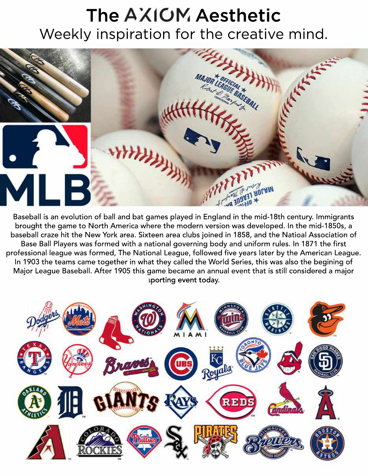## The AXIOM Aesthetic Weekly inspiration for the creative mind.



Baseball is an evolution of ball and bat games played in England in the mid-18th century. Immigrants brought the game to North America where the modern version was developed. In the mid-1850s, a baseball craze hit the New York area. Sixteen area clubs joined in 1858, and the Natioal Association of Base Ball Players was formed with a national governing body and uniform rules. In 1871 the first professional league was formed, The National League, followed five years later by the American League. In 1903 the teams came together in what they called the World Series, this was also the begining of Major League Baseball. After 1905 this game became an annual event that is still considered a major sporting event today.

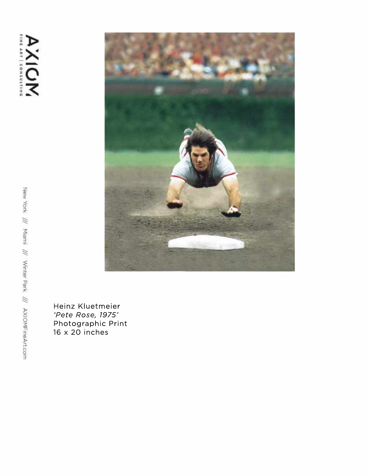

Heinz Kluetmeier *'PeteRose,1975'* Photographic Print  $16 \times 20$  inches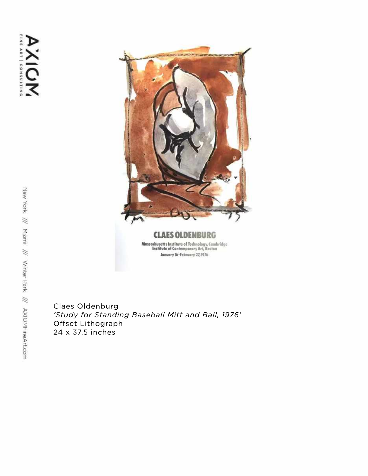

**CLAES OLDENBURG**  $\begin{array}{c} {\bf Massach} {\bf u} {\bf s} {\bf t} {\bf t} {\bf s} \text{ Institute of Technology, Cambridge}\\ {\bf Institute of Contemporary Art, Boston} \end{array}$ January 16-February 27, 1976

Claes Oldenburg 'Study for Standing Baseball Mitt and Ball, 1976' Offset Lithograph 24x37.5inches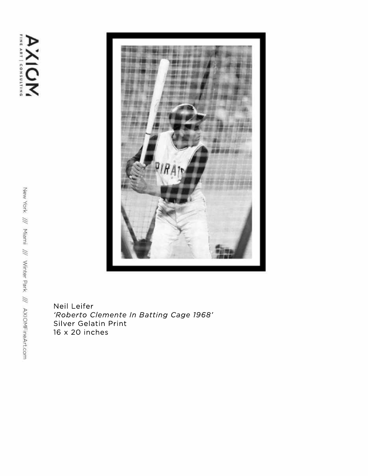AXIOM



Neil Leifer *'RobertoClementeInBattingCage1968'* Silver Gelatin Print 16x20inches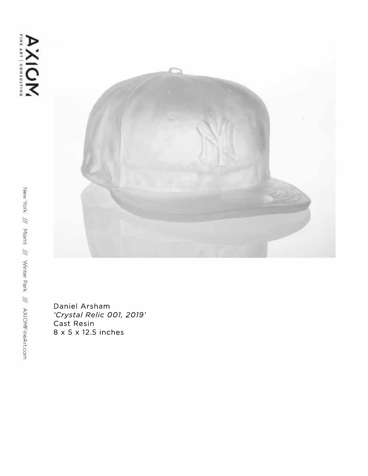

Daniel Arsham *'CrystalRelic001,2019'* Cast Resin 8x5x12.5inches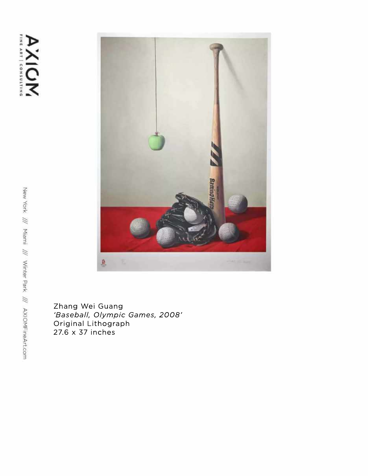

Zhang Wei Guang *'Baseball,OlympicGames,2008'* Original Lithograph  $27.6 \times 37$  inches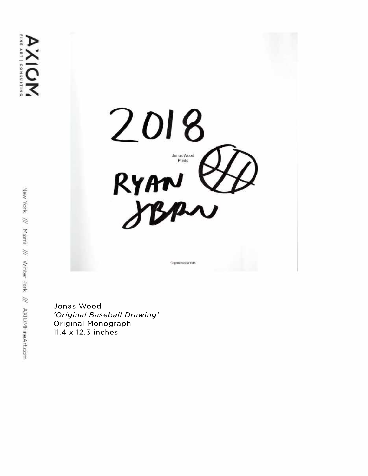

Jonas Wood 'Original Baseball Drawing' Original Monograph 11.4 x 12.3 inches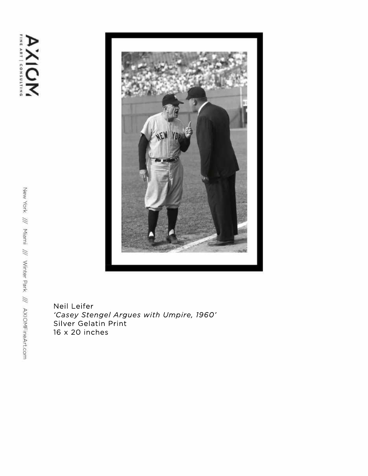

Neil Leifer *'CaseyStengelArgueswithUmpire,1960'* Silver Gelatin Print 16x20inches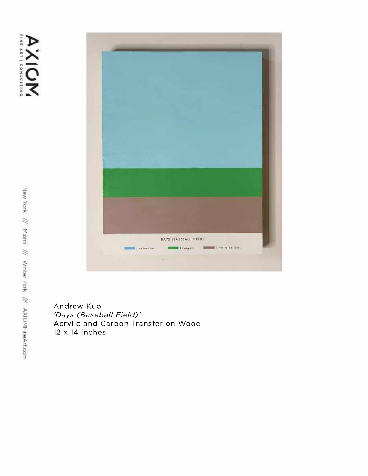

Andrew Kuo 'Days (Baseball Field)' Acrylic and Carbon Transfer on Wood  $12 \times 14$  inches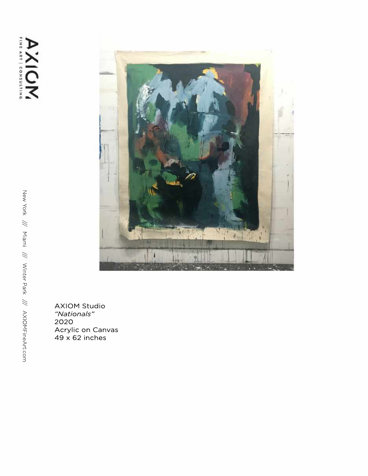## AXION



AXIOM Studio *"Nationals"* 2020 Acrylic on Canvas  $49 \times 62$  inches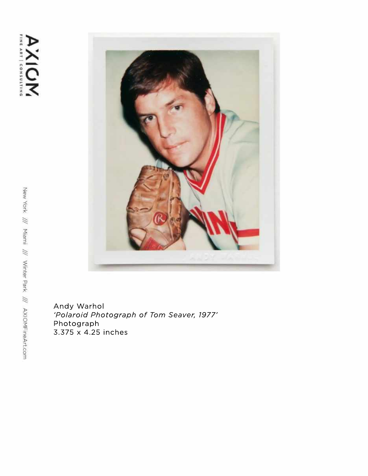

Andy Warhol 'Polaroid Photograph of Tom Seaver, 1977' Photograph 3.375x4.25inches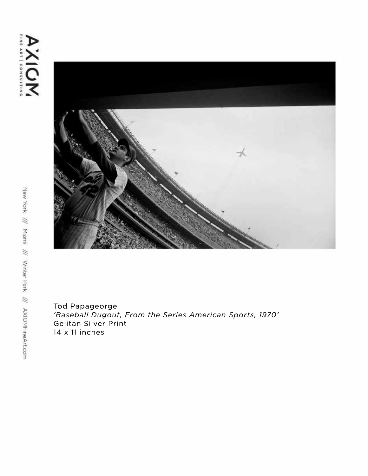

Tod Papageorge 'Baseball Dugout, From the Series American Sports, 1970' Gelitan Silver Print  $14 \times 11$  inches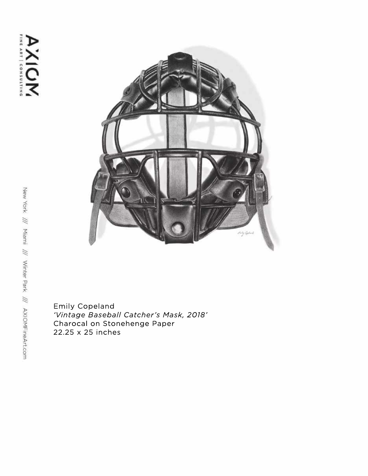

Emily Copeland 'Vintage Baseball Catcher's Mask, 2018' Charocal on Stonehenge Paper 22.25 x 25 inches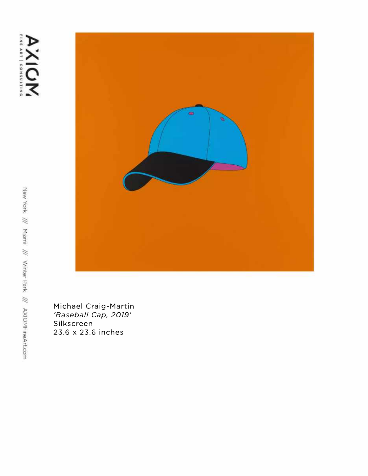

Michael Craig-Martin *'BaseballCap,2019'* Silkscreen 23.6x23.6inches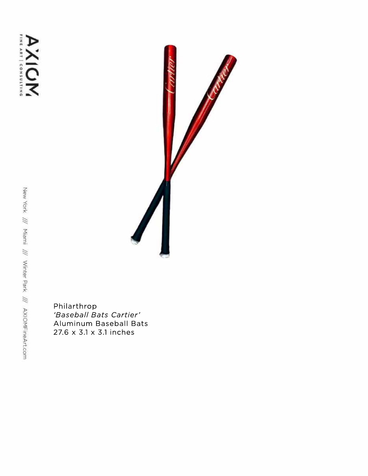

Philarthrop<br>'Baseball Bats Cartier' Aluminum Baseball Bats 27.6 x 3.1 x 3.1 inches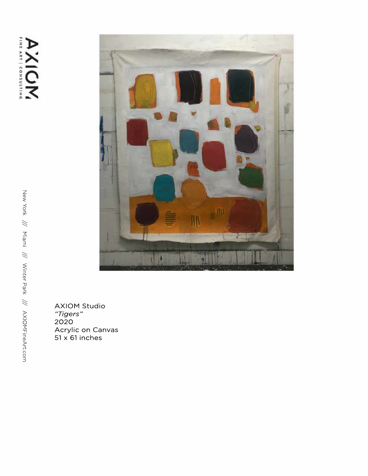## **AXIOM**



AXIOM Studio *"Tigers"* 2020 Acrylic on Canvas 51 x 61 inches